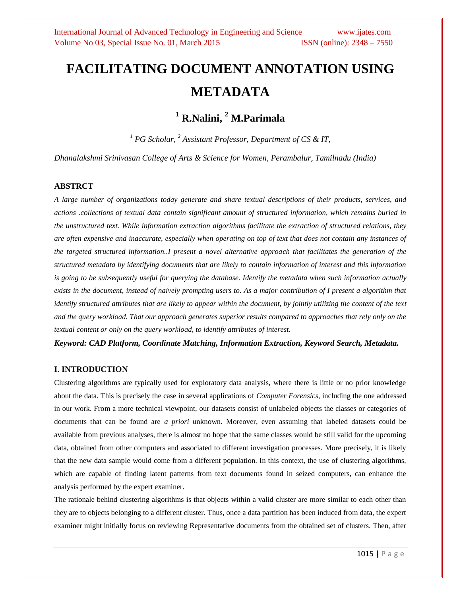# **FACILITATING DOCUMENT ANNOTATION USING METADATA**

# **<sup>1</sup> R.Nalini, <sup>2</sup> M.Parimala**

*<sup>1</sup> PG Scholar, <sup>2</sup> Assistant Professor, Department of CS & IT,*

*Dhanalakshmi Srinivasan College of Arts & Science for Women, Perambalur, Tamilnadu (India)*

#### **ABSTRCT**

*A large number of organizations today generate and share textual descriptions of their products, services, and actions .collections of textual data contain significant amount of structured information, which remains buried in the unstructured text. While information extraction algorithms facilitate the extraction of structured relations, they are often expensive and inaccurate, especially when operating on top of text that does not contain any instances of the targeted structured information..I present a novel alternative approach that facilitates the generation of the structured metadata by identifying documents that are likely to contain information of interest and this information is going to be subsequently useful for querying the database. Identify the metadata when such information actually exists in the document, instead of naively prompting users to. As a major contribution of I present a algorithm that identify structured attributes that are likely to appear within the document, by jointly utilizing the content of the text and the query workload. That our approach generates superior results compared to approaches that rely only on the textual content or only on the query workload, to identify attributes of interest.*

*Keyword: CAD Platform, Coordinate Matching, Information Extraction, Keyword Search, Metadata.*

#### **I. INTRODUCTION**

Clustering algorithms are typically used for exploratory data analysis, where there is little or no prior knowledge about the data. This is precisely the case in several applications of *Computer Forensics*, including the one addressed in our work. From a more technical viewpoint, our datasets consist of unlabeled objects the classes or categories of documents that can be found are *a priori* unknown. Moreover, even assuming that labeled datasets could be available from previous analyses, there is almost no hope that the same classes would be still valid for the upcoming data, obtained from other computers and associated to different investigation processes. More precisely, it is likely that the new data sample would come from a different population. In this context, the use of clustering algorithms, which are capable of finding latent patterns from text documents found in seized computers, can enhance the analysis performed by the expert examiner.

The rationale behind clustering algorithms is that objects within a valid cluster are more similar to each other than they are to objects belonging to a different cluster. Thus, once a data partition has been induced from data, the expert examiner might initially focus on reviewing Representative documents from the obtained set of clusters. Then, after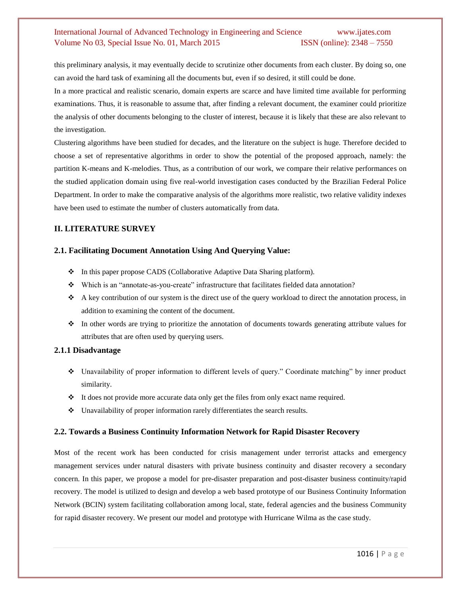## International Journal of Advanced Technology in Engineering and Science www.ijates.com Volume No 03, Special Issue No. 01, March 2015 **ISSN** (online): 2348 – 7550

this preliminary analysis, it may eventually decide to scrutinize other documents from each cluster. By doing so, one can avoid the hard task of examining all the documents but, even if so desired, it still could be done.

In a more practical and realistic scenario, domain experts are scarce and have limited time available for performing examinations. Thus, it is reasonable to assume that, after finding a relevant document, the examiner could prioritize the analysis of other documents belonging to the cluster of interest, because it is likely that these are also relevant to the investigation.

Clustering algorithms have been studied for decades, and the literature on the subject is huge. Therefore decided to choose a set of representative algorithms in order to show the potential of the proposed approach, namely: the partition K-means and K-melodies. Thus, as a contribution of our work, we compare their relative performances on the studied application domain using five real-world investigation cases conducted by the Brazilian Federal Police Department. In order to make the comparative analysis of the algorithms more realistic, two relative validity indexes have been used to estimate the number of clusters automatically from data.

#### **II. LITERATURE SURVEY**

#### **2.1. Facilitating Document Annotation Using And Querying Value:**

- In this paper propose CADS (Collaborative Adaptive Data Sharing platform).
- Which is an "annotate-as-you-create" infrastructure that facilitates fielded data annotation?
- A key contribution of our system is the direct use of the query workload to direct the annotation process, in addition to examining the content of the document.
- $\bullet$  In other words are trying to prioritize the annotation of documents towards generating attribute values for attributes that are often used by querying users.

#### **2.1.1 Disadvantage**

- Unavailability of proper information to different levels of query." Coordinate matching" by inner product similarity.
- It does not provide more accurate data only get the files from only exact name required.
- Unavailability of proper information rarely differentiates the search results.

#### **2.2. Towards a Business Continuity Information Network for Rapid Disaster Recovery**

Most of the recent work has been conducted for crisis management under terrorist attacks and emergency management services under natural disasters with private business continuity and disaster recovery a secondary concern. In this paper, we propose a model for pre-disaster preparation and post-disaster business continuity/rapid recovery. The model is utilized to design and develop a web based prototype of our Business Continuity Information Network (BCIN) system facilitating collaboration among local, state, federal agencies and the business Community for rapid disaster recovery. We present our model and prototype with Hurricane Wilma as the case study.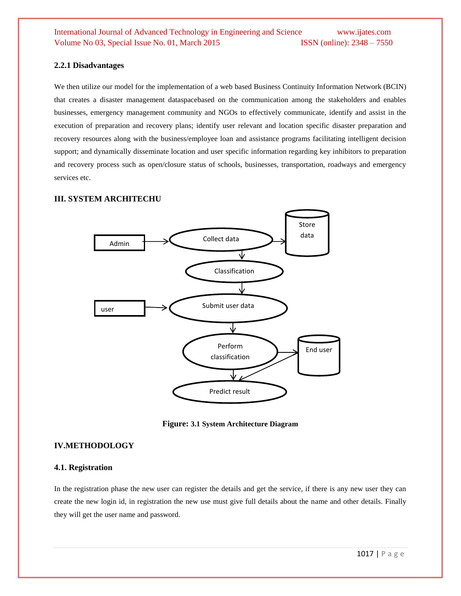#### **2.2.1 Disadvantages**

We then utilize our model for the implementation of a web based Business Continuity Information Network (BCIN) that creates a disaster management dataspacebased on the communication among the stakeholders and enables businesses, emergency management community and NGOs to effectively communicate, identify and assist in the execution of preparation and recovery plans; identify user relevant and location specific disaster preparation and recovery resources along with the business/employee loan and assistance programs facilitating intelligent decision support; and dynamically disseminate location and user specific information regarding key inhibitors to preparation and recovery process such as open/closure status of schools, businesses, transportation, roadways and emergency services etc.

#### **III. SYSTEM ARCHITECHU**



**Figure: 3.1 System Architecture Diagram**

#### **IV.METHODOLOGY**

#### **4.1. Registration**

In the registration phase the new user can register the details and get the service, if there is any new user they can create the new login id, in registration the new use must give full details about the name and other details. Finally they will get the user name and password.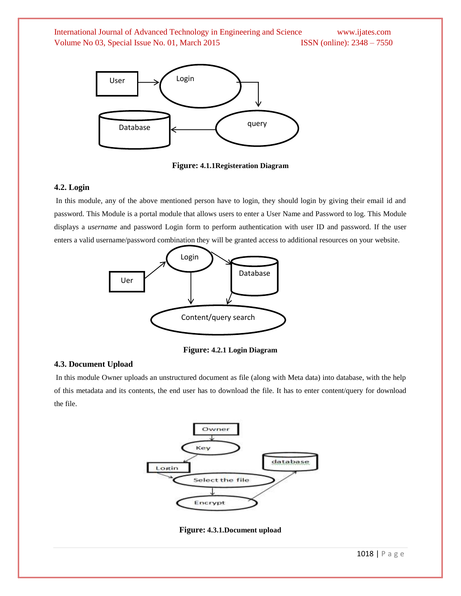

**Figure: 4.1.1Registeration Diagram**

#### **4.2. Login**

In this module, any of the above mentioned person have to login, they should login by giving their email id and password. This Module is a portal module that allows users to enter a User Name and Password to log. This Module displays a *username* and password Login form to perform authentication with user ID and password. If the user enters a valid username/password combination they will be granted access to additional resources on your website.



**Figure: 4.2.1 Login Diagram**

#### **4.3. Document Upload**

In this module Owner uploads an unstructured document as file (along with Meta data) into database, with the help of this metadata and its contents, the end user has to download the file. It has to enter content/query for download the file.



**Figure: 4.3.1.Document upload**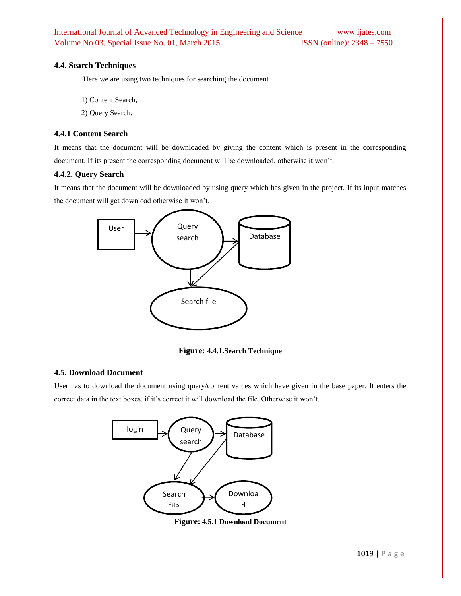International Journal of Advanced Technology in Engineering and Science www.ijates.com Volume No 03, Special Issue No. 01, March 2015 **ISSN** (online): 2348 - 7550

#### **4.4. Search Techniques**

Here we are using two techniques for searching the document

- 1) Content Search,
- 2) Query Search.

#### **4.4.1 Content Search**

It means that the document will be downloaded by giving the content which is present in the corresponding document. If its present the corresponding document will be downloaded, otherwise it won't.

#### **4.4.2. Query Search**

It means that the document will be downloaded by using query which has given in the project. If its input matches the document will get download otherwise it won't.



**Figure: 4.4.1.Search Technique**

#### **4.5. Download Document**

User has to download the document using query/content values which have given in the base paper. It enters the correct data in the text boxes, if it's correct it will download the file. Otherwise it won't.



**Figure: 4.5.1 Download Document** docume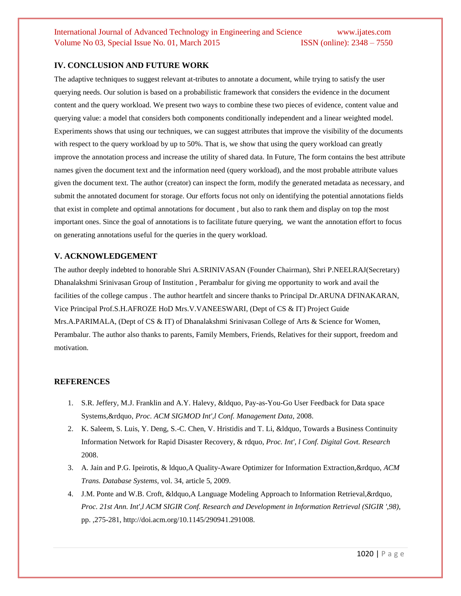# International Journal of Advanced Technology in Engineering and Science www.ijates.com Volume No 03, Special Issue No. 01, March 2015 ISSN (online): 2348 – 7550

#### **IV. CONCLUSION AND FUTURE WORK**

The adaptive techniques to suggest relevant at-tributes to annotate a document, while trying to satisfy the user querying needs. Our solution is based on a probabilistic framework that considers the evidence in the document content and the query workload. We present two ways to combine these two pieces of evidence, content value and querying value: a model that considers both components conditionally independent and a linear weighted model. Experiments shows that using our techniques, we can suggest attributes that improve the visibility of the documents with respect to the query workload by up to 50%. That is, we show that using the query workload can greatly improve the annotation process and increase the utility of shared data. In Future, The form contains the best attribute names given the document text and the information need (query workload), and the most probable attribute values given the document text. The author (creator) can inspect the form, modify the generated metadata as necessary, and submit the annotated document for storage. Our efforts focus not only on identifying the potential annotations fields that exist in complete and optimal annotations for document , but also to rank them and display on top the most important ones. Since the goal of annotations is to facilitate future querying, we want the annotation effort to focus on generating annotations useful for the queries in the query workload.

#### **V. ACKNOWLEDGEMENT**

The author deeply indebted to honorable Shri A.SRINIVASAN (Founder Chairman), Shri P.NEELRAJ(Secretary) Dhanalakshmi Srinivasan Group of Institution , Perambalur for giving me opportunity to work and avail the facilities of the college campus . The author heartfelt and sincere thanks to Principal Dr.ARUNA DFINAKARAN, Vice Principal Prof.S.H.AFROZE HoD Mrs.V.VANEESWARI, (Dept of CS & IT) Project Guide Mrs.A.PARIMALA, (Dept of CS & IT) of Dhanalakshmi Srinivasan College of Arts & Science for Women, Perambalur. The author also thanks to parents, Family Members, Friends, Relatives for their support, freedom and motivation.

#### **REFERENCES**

- 1. S.R. Jeffery, M.J. Franklin and A.Y. Halevy, &ldquo, Pay-as-You-Go User Feedback for Data space Systems,&rdquo, *Proc. ACM SIGMOD Int',l Conf. Management Data,* 2008.
- 2. K. Saleem, S. Luis, Y. Deng, S.-C. Chen, V. Hristidis and T. Li, &ldquo, Towards a Business Continuity Information Network for Rapid Disaster Recovery, & rdquo, *Proc. Int', l Conf. Digital Govt. Research*  2008.
- 3. A. Jain and P.G. Ipeirotis, & ldquo,A Quality-Aware Optimizer for Information Extraction,&rdquo, *ACM Trans. Database Systems,* vol. 34, article 5, 2009.
- 4. J.M. Ponte and W.B. Croft, &ldquo,A Language Modeling Approach to Information Retrieval,&rdquo, *Proc. 21st Ann. Int',l ACM SIGIR Conf. Research and Development in Information Retrieval (SIGIR ',98),* pp. ,275-281, http://doi.acm.org/10.1145/290941.291008.